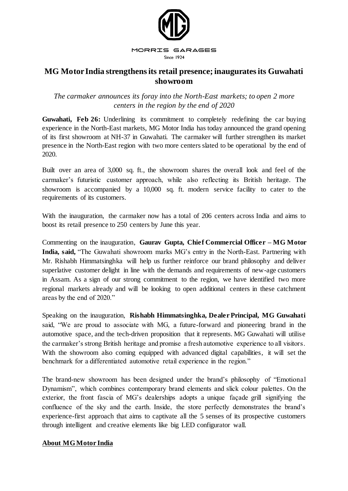

## **MG Motor India strengthens its retail presence; inaugurates its Guwahati showroom**

*The carmaker announces its foray into the North-East markets; to open 2 more centers in the region by the end of 2020*

Guwahati, Feb 26: Underlining its commitment to completely redefining the car buying experience in the North-East markets, MG Motor India has today announced the grand opening of its first showroom at NH-37 in Guwahati. The carmaker will further strengthen its market presence in the North-East region with two more centers slated to be operational by the end of 2020.

Built over an area of 3,000 sq. ft., the showroom shares the overall look and feel of the carmaker's futuristic customer approach, while also reflecting its British heritage. The showroom is accompanied by a 10,000 sq. ft. modern service facility to cater to the requirements of its customers.

With the inauguration, the carmaker now has a total of 206 centers across India and aims to boost its retail presence to 250 centers by June this year.

Commenting on the inauguration, **Gaurav Gupta, Chief Commercial Officer – MG Motor India, said,** "The Guwahati showroom marks MG's entry in the North-East. Partnering with Mr. Rishabh Himmatsinghka will help us further reinforce our brand philosophy and deliver superlative customer delight in line with the demands and requirements of new-age customers in Assam. As a sign of our strong commitment to the region, we have identified two more regional markets already and will be looking to open additional centers in these catchment areas by the end of 2020."

Speaking on the inauguration, **Rishabh Himmatsinghka, Dealer Principal, MG Guwahati** said, "We are proud to associate with MG, a future-forward and pioneering brand in the automotive space, and the tech-driven proposition that it represents. MG Guwahati will utilise the carmaker's strong British heritage and promise a fresh automotive experience to all visitors. With the showroom also coming equipped with advanced digital capabilities, it will set the benchmark for a differentiated automotive retail experience in the region."

The brand-new showroom has been designed under the brand's philosophy of "Emotional Dynamism", which combines contemporary brand elements and slick colour palettes. On the exterior, the front fascia of MG's dealerships adopts a unique façade grill signifying the confluence of the sky and the earth. Inside, the store perfectly demonstrates the brand's experience-first approach that aims to captivate all the 5 senses of its prospective customers through intelligent and creative elements like big LED configurator wall.

## **About MGMotor India**